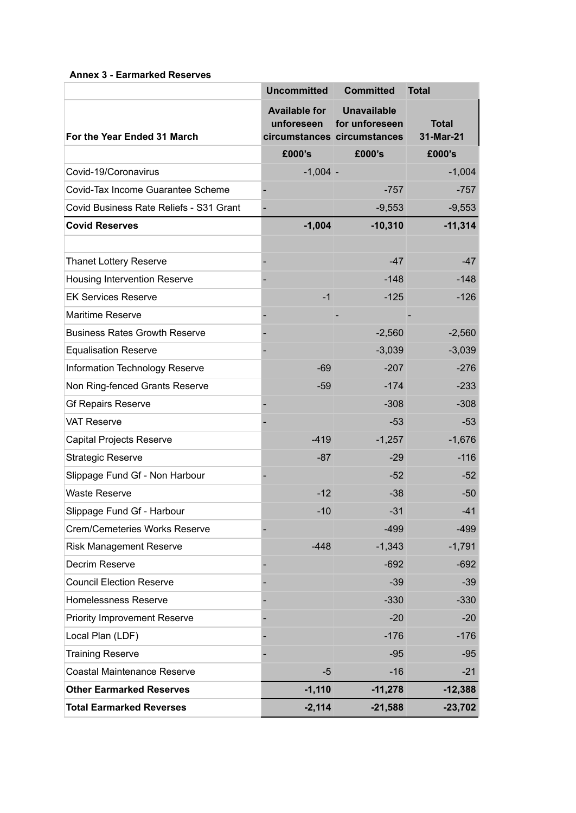## **Annex 3 - Earmarked Reserves**

|                                         | <b>Uncommitted</b>                 | <b>Committed</b>                                                    | <b>Total</b>              |
|-----------------------------------------|------------------------------------|---------------------------------------------------------------------|---------------------------|
| For the Year Ended 31 March             | <b>Available for</b><br>unforeseen | <b>Unavailable</b><br>for unforeseen<br>circumstances circumstances | <b>Total</b><br>31-Mar-21 |
|                                         | £000's                             | £000's                                                              | £000's                    |
| Covid-19/Coronavirus                    | $-1,004 -$                         |                                                                     | $-1,004$                  |
| Covid-Tax Income Guarantee Scheme       |                                    | $-757$                                                              | $-757$                    |
| Covid Business Rate Reliefs - S31 Grant |                                    | $-9,553$                                                            | $-9,553$                  |
| <b>Covid Reserves</b>                   | $-1,004$                           | $-10,310$                                                           | $-11,314$                 |
|                                         |                                    |                                                                     |                           |
| <b>Thanet Lottery Reserve</b>           |                                    | $-47$                                                               | $-47$                     |
| <b>Housing Intervention Reserve</b>     |                                    | $-148$                                                              | $-148$                    |
| <b>EK Services Reserve</b>              | $-1$                               | $-125$                                                              | $-126$                    |
| <b>Maritime Reserve</b>                 |                                    |                                                                     |                           |
| <b>Business Rates Growth Reserve</b>    |                                    | $-2,560$                                                            | $-2,560$                  |
| <b>Equalisation Reserve</b>             |                                    | $-3,039$                                                            | $-3,039$                  |
| Information Technology Reserve          | $-69$                              | $-207$                                                              | $-276$                    |
| Non Ring-fenced Grants Reserve          | $-59$                              | $-174$                                                              | $-233$                    |
| <b>Gf Repairs Reserve</b>               |                                    | $-308$                                                              | $-308$                    |
| <b>VAT Reserve</b>                      |                                    | $-53$                                                               | $-53$                     |
| <b>Capital Projects Reserve</b>         | $-419$                             | $-1,257$                                                            | $-1,676$                  |
| <b>Strategic Reserve</b>                | $-87$                              | $-29$                                                               | $-116$                    |
| Slippage Fund Gf - Non Harbour          |                                    | $-52$                                                               | $-52$                     |
| <b>Waste Reserve</b>                    | $-12$                              | $-38$                                                               | $-50$                     |
| Slippage Fund Gf - Harbour              | $-10$                              | $-31$                                                               | $-41$                     |
| <b>Crem/Cemeteries Works Reserve</b>    |                                    | $-499$                                                              | $-499$                    |
| <b>Risk Management Reserve</b>          | $-448$                             | $-1,343$                                                            | $-1,791$                  |
| Decrim Reserve                          |                                    | $-692$                                                              | $-692$                    |
| <b>Council Election Reserve</b>         |                                    | $-39$                                                               | $-39$                     |
| Homelessness Reserve                    |                                    | $-330$                                                              | $-330$                    |
| <b>Priority Improvement Reserve</b>     |                                    | $-20$                                                               | $-20$                     |
| Local Plan (LDF)                        |                                    | $-176$                                                              | $-176$                    |
| <b>Training Reserve</b>                 |                                    | $-95$                                                               | $-95$                     |
| <b>Coastal Maintenance Reserve</b>      | -5                                 | $-16$                                                               | $-21$                     |
| <b>Other Earmarked Reserves</b>         | $-1,110$                           | $-11,278$                                                           | $-12,388$                 |
| <b>Total Earmarked Reverses</b>         | $-2,114$                           | $-21,588$                                                           | $-23,702$                 |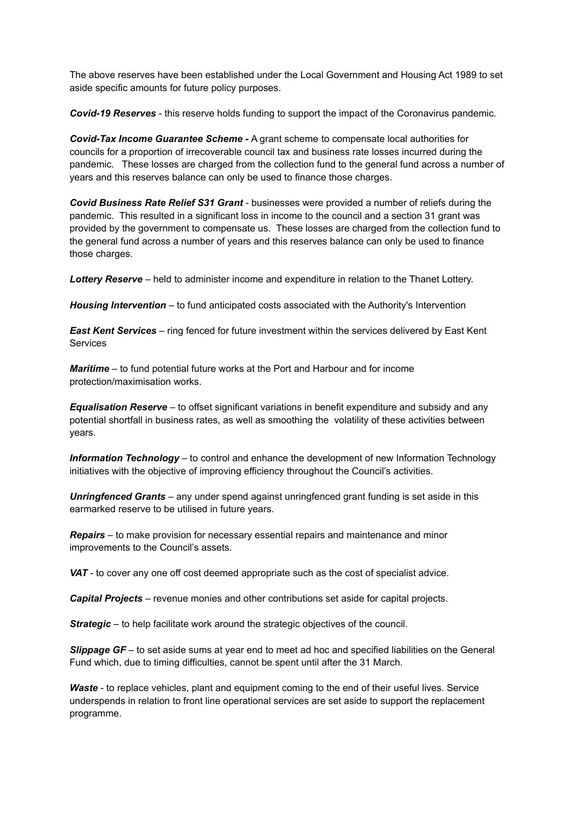The above reserves have been established under the Local Government and Housing Act 1989 to set aside specific amounts for future policy purposes.

*Covid-19 Reserves* - this reserve holds funding to support the impact of the Coronavirus pandemic.

*Covid-Tax Income Guarantee Scheme -* A grant scheme to compensate local authorities for councils for a proportion of irrecoverable council tax and business rate losses incurred during the pandemic. These losses are charged from the collection fund to the general fund across a number of years and this reserves balance can only be used to finance those charges.

*Covid Business Rate Relief S31 Grant* - businesses were provided a number of reliefs during the pandemic. This resulted in a significant loss in income to the council and a section 31 grant was provided by the government to compensate us. These losses are charged from the collection fund to the general fund across a number of years and this reserves balance can only be used to finance those charges.

*Lottery Reserve* – held to administer income and expenditure in relation to the Thanet Lottery.

*Housing Intervention* – to fund anticipated costs associated with the Authority's Intervention

*East Kent Services* – ring fenced for future investment within the services delivered by East Kent Services

*Maritime* – to fund potential future works at the Port and Harbour and for income protection/maximisation works.

*Equalisation Reserve* – to offset significant variations in benefit expenditure and subsidy and any potential shortfall in business rates, as well as smoothing the volatility of these activities between years.

*Information Technology* – to control and enhance the development of new Information Technology initiatives with the objective of improving efficiency throughout the Council's activities.

*Unringfenced Grants* – any under spend against unringfenced grant funding is set aside in this earmarked reserve to be utilised in future years.

*Repairs* – to make provision for necessary essential repairs and maintenance and minor improvements to the Council's assets.

*VAT* - to cover any one off cost deemed appropriate such as the cost of specialist advice.

*Capital Projects* – revenue monies and other contributions set aside for capital projects.

**Strategic** – to help facilitate work around the strategic objectives of the council.

*Slippage GF* – to set aside sums at year end to meet ad hoc and specified liabilities on the General Fund which, due to timing difficulties, cannot be spent until after the 31 March.

*Waste* - to replace vehicles, plant and equipment coming to the end of their useful lives. Service underspends in relation to front line operational services are set aside to support the replacement programme.